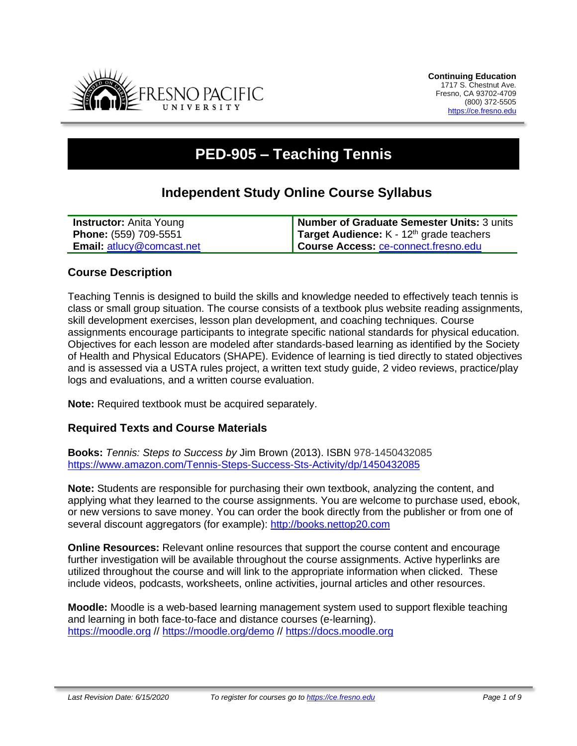

# **PED-905 – Teaching Tennis**

## **Independent Study Online Course Syllabus**

| <b>Instructor:</b> Anita Young   | Number of Graduate Semester Units: 3 units        |
|----------------------------------|---------------------------------------------------|
| Phone: (559) 709-5551            | <b>Target Audience:</b> $K - 12th$ grade teachers |
| <b>Email: atlucy@comcast.net</b> | Course Access: ce-connect.fresno.edu              |

#### **Course Description**

Teaching Tennis is designed to build the skills and knowledge needed to effectively teach tennis is class or small group situation. The course consists of a textbook plus website reading assignments, skill development exercises, lesson plan development, and coaching techniques. Course assignments encourage participants to integrate specific national standards for physical education. Objectives for each lesson are modeled after standards-based learning as identified by the Society of Health and Physical Educators (SHAPE). Evidence of learning is tied directly to stated objectives and is assessed via a USTA rules project, a written text study guide, 2 video reviews, practice/play logs and evaluations, and a written course evaluation.

**Note:** Required textbook must be acquired separately.

#### **Required Texts and Course Materials**

**Books:** *Tennis: Steps to Success by* Jim Brown (2013). ISBN 978-1450432085 <https://www.amazon.com/Tennis-Steps-Success-Sts-Activity/dp/1450432085>

**Note:** Students are responsible for purchasing their own textbook, analyzing the content, and applying what they learned to the course assignments. You are welcome to purchase used, ebook, or new versions to save money. You can order the book directly from the publisher or from one of several discount aggregators (for example): [http://books.nettop20.com](http://books.nettop20.com/)

**Online Resources:** Relevant online resources that support the course content and encourage further investigation will be available throughout the course assignments. Active hyperlinks are utilized throughout the course and will link to the appropriate information when clicked. These include videos, podcasts, worksheets, online activities, journal articles and other resources.

**Moodle:** Moodle is a web-based learning management system used to support flexible teaching and learning in both face-to-face and distance courses (e-learning). [https://moodle.org](https://moodle.org/) //<https://moodle.org/demo> // [https://docs.moodle.org](https://docs.moodle.org/)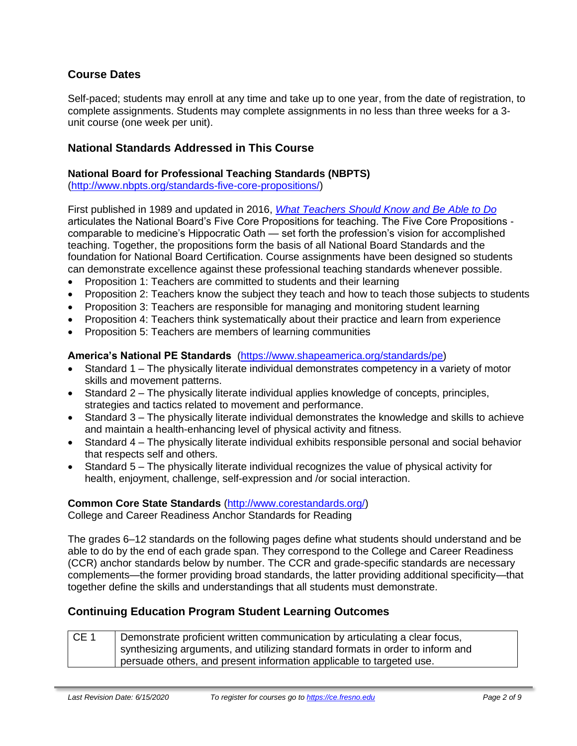### **Course Dates**

Self-paced; students may enroll at any time and take up to one year, from the date of registration, to complete assignments. Students may complete assignments in no less than three weeks for a 3 unit course (one week per unit).

#### **National Standards Addressed in This Course**

#### **National Board for Professional Teaching Standards (NBPTS)**

[\(http://www.nbpts.org/standards-five-core-propositions/\)](http://www.nbpts.org/standards-five-core-propositions/)

First published in 1989 and updated in 2016, *[What Teachers Should Know and Be Able to Do](http://www.accomplishedteacher.org/)* articulates the National Board's Five Core Propositions for teaching. The Five Core Propositions comparable to medicine's Hippocratic Oath — set forth the profession's vision for accomplished teaching. Together, the propositions form the basis of all National Board Standards and the foundation for National Board Certification. Course assignments have been designed so students can demonstrate excellence against these professional teaching standards whenever possible.

- Proposition 1: Teachers are committed to students and their learning
- Proposition 2: Teachers know the subject they teach and how to teach those subjects to students
- Proposition 3: Teachers are responsible for managing and monitoring student learning
- Proposition 4: Teachers think systematically about their practice and learn from experience
- Proposition 5: Teachers are members of learning communities

#### **America's National PE Standards** [\(https://www.shapeamerica.org/standards/pe\)](https://www.shapeamerica.org/standards/pe)

- Standard 1 The physically literate individual demonstrates competency in a variety of motor skills and movement patterns.
- Standard 2 The physically literate individual applies knowledge of concepts, principles, strategies and tactics related to movement and performance.
- Standard 3 The physically literate individual demonstrates the knowledge and skills to achieve and maintain a health-enhancing level of physical activity and fitness.
- Standard 4 The physically literate individual exhibits responsible personal and social behavior that respects self and others.
- Standard 5 The physically literate individual recognizes the value of physical activity for health, enjoyment, challenge, self-expression and /or social interaction.

#### **Common Core State Standards** [\(http://www.corestandards.org/\)](http://www.corestandards.org/)

College and Career Readiness Anchor Standards for Reading

The grades 6–12 standards on the following pages define what students should understand and be able to do by the end of each grade span. They correspond to the College and Career Readiness (CCR) anchor standards below by number. The CCR and grade-specific standards are necessary complements—the former providing broad standards, the latter providing additional specificity—that together define the skills and understandings that all students must demonstrate.

#### **Continuing Education Program Student Learning Outcomes**

| $CE_1$ | Demonstrate proficient written communication by articulating a clear focus,   |
|--------|-------------------------------------------------------------------------------|
|        | synthesizing arguments, and utilizing standard formats in order to inform and |
|        | persuade others, and present information applicable to targeted use.          |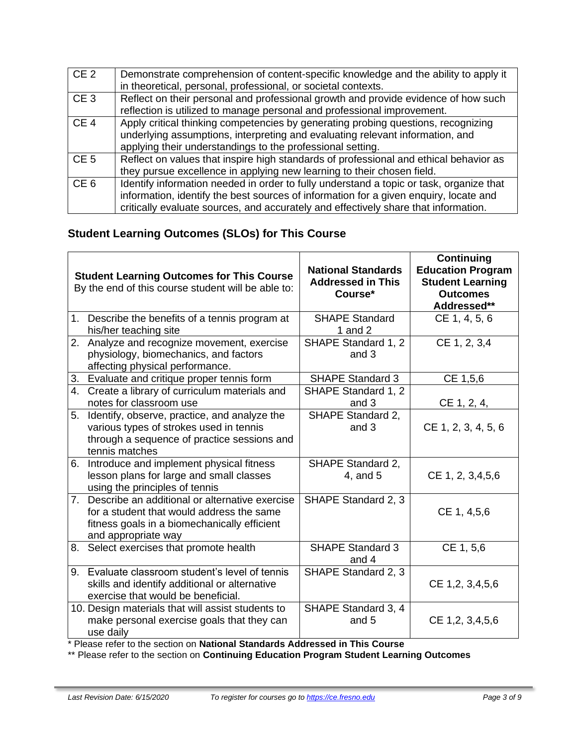| CE <sub>2</sub> | Demonstrate comprehension of content-specific knowledge and the ability to apply it<br>in theoretical, personal, professional, or societal contexts.                                                                                                                    |
|-----------------|-------------------------------------------------------------------------------------------------------------------------------------------------------------------------------------------------------------------------------------------------------------------------|
| CE <sub>3</sub> | Reflect on their personal and professional growth and provide evidence of how such<br>reflection is utilized to manage personal and professional improvement.                                                                                                           |
| CE <sub>4</sub> | Apply critical thinking competencies by generating probing questions, recognizing<br>underlying assumptions, interpreting and evaluating relevant information, and<br>applying their understandings to the professional setting.                                        |
| CE <sub>5</sub> | Reflect on values that inspire high standards of professional and ethical behavior as<br>they pursue excellence in applying new learning to their chosen field.                                                                                                         |
| CE <sub>6</sub> | Identify information needed in order to fully understand a topic or task, organize that<br>information, identify the best sources of information for a given enquiry, locate and<br>critically evaluate sources, and accurately and effectively share that information. |

## **Student Learning Outcomes (SLOs) for This Course**

|    | <b>Student Learning Outcomes for This Course</b><br>By the end of this course student will be able to:                                                                | <b>National Standards</b><br><b>Addressed in This</b><br>Course* | Continuing<br><b>Education Program</b><br><b>Student Learning</b><br><b>Outcomes</b><br>Addressed** |
|----|-----------------------------------------------------------------------------------------------------------------------------------------------------------------------|------------------------------------------------------------------|-----------------------------------------------------------------------------------------------------|
|    | 1. Describe the benefits of a tennis program at<br>his/her teaching site                                                                                              | <b>SHAPE Standard</b><br>1 and $2$                               | CE 1, 4, 5, 6                                                                                       |
| 2. | Analyze and recognize movement, exercise<br>physiology, biomechanics, and factors<br>affecting physical performance.                                                  | SHAPE Standard 1, 2<br>and 3                                     | CE 1, 2, 3,4                                                                                        |
|    | 3. Evaluate and critique proper tennis form                                                                                                                           | <b>SHAPE Standard 3</b>                                          | CE 1,5,6                                                                                            |
|    | 4. Create a library of curriculum materials and<br>notes for classroom use                                                                                            | SHAPE Standard 1, 2<br>and 3                                     | CE 1, 2, 4,                                                                                         |
|    | 5. Identify, observe, practice, and analyze the<br>various types of strokes used in tennis<br>through a sequence of practice sessions and<br>tennis matches           | SHAPE Standard 2,<br>and 3                                       | CE 1, 2, 3, 4, 5, 6                                                                                 |
|    | 6. Introduce and implement physical fitness<br>lesson plans for large and small classes<br>using the principles of tennis                                             | SHAPE Standard 2,<br>4, and 5                                    | CE 1, 2, 3,4,5,6                                                                                    |
|    | 7. Describe an additional or alternative exercise<br>for a student that would address the same<br>fitness goals in a biomechanically efficient<br>and appropriate way | SHAPE Standard 2, 3                                              | CE 1, 4,5,6                                                                                         |
|    | 8. Select exercises that promote health                                                                                                                               | <b>SHAPE Standard 3</b><br>and 4                                 | CE 1, 5,6                                                                                           |
|    | 9. Evaluate classroom student's level of tennis<br>skills and identify additional or alternative<br>exercise that would be beneficial.                                | SHAPE Standard 2, 3                                              | CE 1,2, 3,4,5,6                                                                                     |
|    | 10. Design materials that will assist students to<br>make personal exercise goals that they can<br>use daily                                                          | SHAPE Standard 3, 4<br>and 5                                     | CE 1,2, 3,4,5,6                                                                                     |

\* Please refer to the section on **National Standards Addressed in This Course**

\*\* Please refer to the section on **Continuing Education Program Student Learning Outcomes**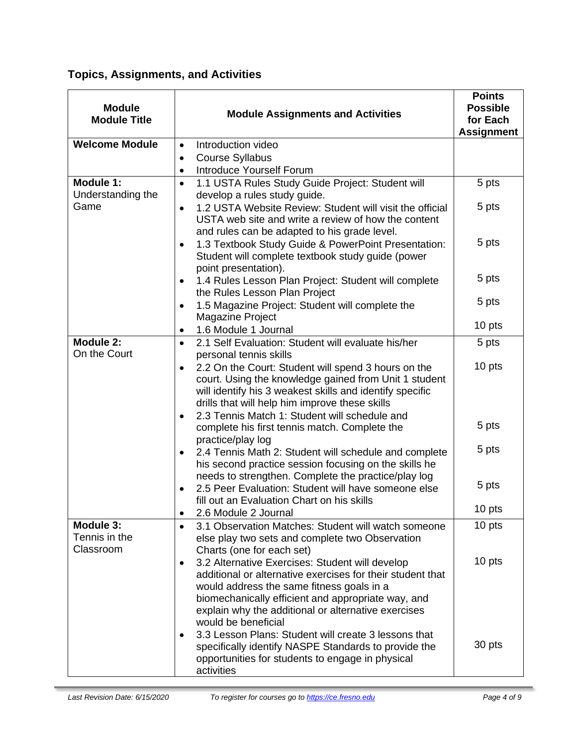## **Topics, Assignments, and Activities**

| <b>Module</b><br><b>Module Title</b>    | <b>Module Assignments and Activities</b>                                                                                                                                                                                                                                                                                                                                                                                    | <b>Points</b><br><b>Possible</b><br>for Each<br><b>Assignment</b> |
|-----------------------------------------|-----------------------------------------------------------------------------------------------------------------------------------------------------------------------------------------------------------------------------------------------------------------------------------------------------------------------------------------------------------------------------------------------------------------------------|-------------------------------------------------------------------|
| <b>Welcome Module</b>                   | Introduction video<br>$\bullet$<br><b>Course Syllabus</b><br>$\bullet$<br>Introduce Yourself Forum<br>$\bullet$                                                                                                                                                                                                                                                                                                             |                                                                   |
| Module 1:                               | 1.1 USTA Rules Study Guide Project: Student will<br>$\bullet$                                                                                                                                                                                                                                                                                                                                                               | 5 pts                                                             |
| Understanding the<br>Game               | develop a rules study guide.<br>1.2 USTA Website Review: Student will visit the official<br>$\bullet$<br>USTA web site and write a review of how the content<br>and rules can be adapted to his grade level.                                                                                                                                                                                                                | 5 pts                                                             |
|                                         | 1.3 Textbook Study Guide & PowerPoint Presentation:<br>Student will complete textbook study guide (power<br>point presentation).                                                                                                                                                                                                                                                                                            | 5 pts                                                             |
|                                         | 1.4 Rules Lesson Plan Project: Student will complete<br>the Rules Lesson Plan Project                                                                                                                                                                                                                                                                                                                                       | 5 pts                                                             |
|                                         | 1.5 Magazine Project: Student will complete the<br><b>Magazine Project</b>                                                                                                                                                                                                                                                                                                                                                  | 5 pts                                                             |
|                                         | 1.6 Module 1 Journal                                                                                                                                                                                                                                                                                                                                                                                                        | 10 pts                                                            |
| Module 2:<br>On the Court               | 2.1 Self Evaluation: Student will evaluate his/her<br>$\bullet$                                                                                                                                                                                                                                                                                                                                                             | 5 pts                                                             |
|                                         | personal tennis skills<br>2.2 On the Court: Student will spend 3 hours on the<br>$\bullet$<br>court. Using the knowledge gained from Unit 1 student<br>will identify his 3 weakest skills and identify specific<br>drills that will help him improve these skills                                                                                                                                                           | 10 pts                                                            |
|                                         | 2.3 Tennis Match 1: Student will schedule and<br>complete his first tennis match. Complete the<br>practice/play log                                                                                                                                                                                                                                                                                                         | 5 pts                                                             |
|                                         | 2.4 Tennis Math 2: Student will schedule and complete<br>his second practice session focusing on the skills he<br>needs to strengthen. Complete the practice/play log                                                                                                                                                                                                                                                       | 5 pts                                                             |
|                                         | 2.5 Peer Evaluation: Student will have someone else<br>fill out an Evaluation Chart on his skills                                                                                                                                                                                                                                                                                                                           | 5 pts                                                             |
|                                         | 2.6 Module 2 Journal<br>$\bullet$                                                                                                                                                                                                                                                                                                                                                                                           | 10 pts                                                            |
| Module 3:<br>Tennis in the<br>Classroom | 3.1 Observation Matches: Student will watch someone<br>$\bullet$<br>else play two sets and complete two Observation<br>Charts (one for each set)                                                                                                                                                                                                                                                                            | 10 pts                                                            |
|                                         | 3.2 Alternative Exercises: Student will develop<br>$\bullet$<br>additional or alternative exercises for their student that<br>would address the same fitness goals in a<br>biomechanically efficient and appropriate way, and<br>explain why the additional or alternative exercises<br>would be beneficial<br>3.3 Lesson Plans: Student will create 3 lessons that<br>specifically identify NASPE Standards to provide the | 10 pts<br>30 pts                                                  |
|                                         | opportunities for students to engage in physical<br>activities                                                                                                                                                                                                                                                                                                                                                              |                                                                   |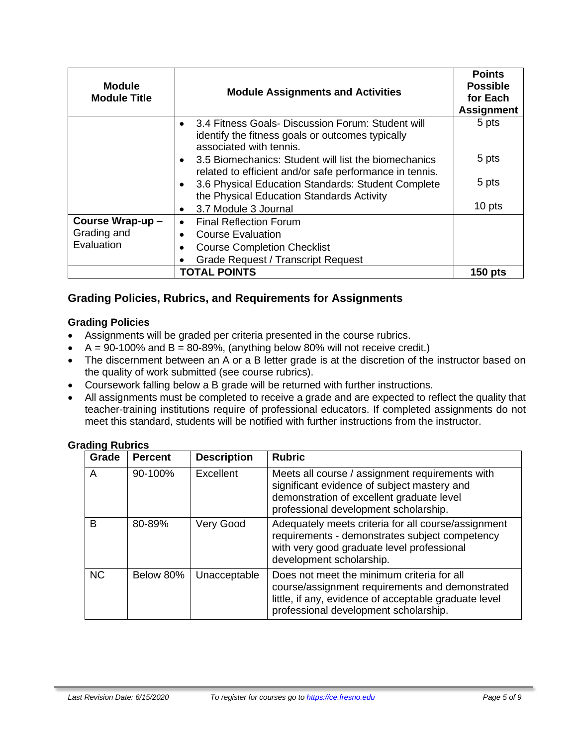| <b>Module</b><br><b>Module Title</b> | <b>Module Assignments and Activities</b>                                                                                         | <b>Points</b><br><b>Possible</b><br>for Each<br><b>Assignment</b> |
|--------------------------------------|----------------------------------------------------------------------------------------------------------------------------------|-------------------------------------------------------------------|
|                                      | 3.4 Fitness Goals- Discussion Forum: Student will<br>identify the fitness goals or outcomes typically<br>associated with tennis. | 5 pts                                                             |
|                                      | 3.5 Biomechanics: Student will list the biomechanics<br>related to efficient and/or safe performance in tennis.                  | 5 pts                                                             |
|                                      | 3.6 Physical Education Standards: Student Complete<br>the Physical Education Standards Activity                                  | 5 pts                                                             |
|                                      | 3.7 Module 3 Journal<br>$\bullet$                                                                                                | 10 pts                                                            |
| Course Wrap-up -                     | <b>Final Reflection Forum</b>                                                                                                    |                                                                   |
| Grading and                          | <b>Course Evaluation</b>                                                                                                         |                                                                   |
| Evaluation                           | <b>Course Completion Checklist</b>                                                                                               |                                                                   |
|                                      | <b>Grade Request / Transcript Request</b>                                                                                        |                                                                   |
| <b>TOTAL POINTS</b>                  |                                                                                                                                  | $150$ pts                                                         |

## **Grading Policies, Rubrics, and Requirements for Assignments**

#### **Grading Policies**

- Assignments will be graded per criteria presented in the course rubrics.
- $A = 90-100\%$  and  $B = 80-89\%$ , (anything below 80% will not receive credit.)
- The discernment between an A or a B letter grade is at the discretion of the instructor based on the quality of work submitted (see course rubrics).
- Coursework falling below a B grade will be returned with further instructions.
- All assignments must be completed to receive a grade and are expected to reflect the quality that teacher-training institutions require of professional educators. If completed assignments do not meet this standard, students will be notified with further instructions from the instructor.

#### **Grading Rubrics**

| Grade     | <b>Percent</b> | <b>Description</b> | <b>Rubric</b>                                                                                                                                                                                   |
|-----------|----------------|--------------------|-------------------------------------------------------------------------------------------------------------------------------------------------------------------------------------------------|
| A         | 90-100%        | Excellent          | Meets all course / assignment requirements with<br>significant evidence of subject mastery and<br>demonstration of excellent graduate level<br>professional development scholarship.            |
| B         | 80-89%         | Very Good          | Adequately meets criteria for all course/assignment<br>requirements - demonstrates subject competency<br>with very good graduate level professional<br>development scholarship.                 |
| <b>NC</b> | Below 80%      | Unacceptable       | Does not meet the minimum criteria for all<br>course/assignment requirements and demonstrated<br>little, if any, evidence of acceptable graduate level<br>professional development scholarship. |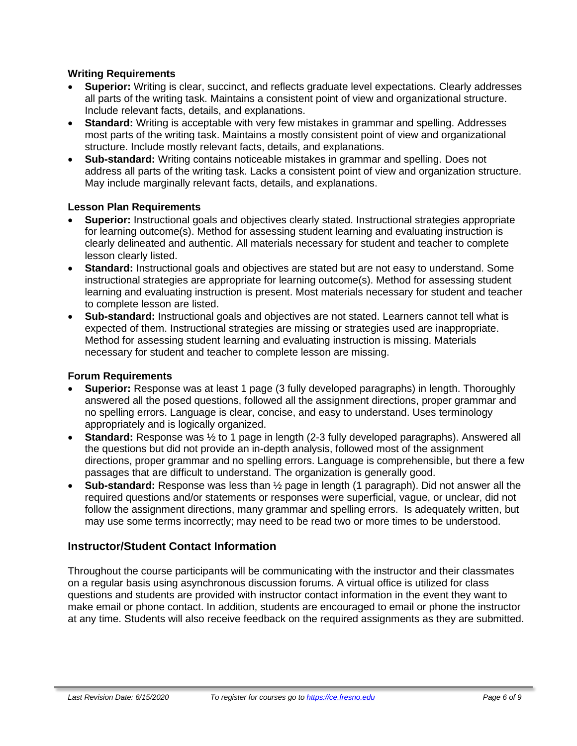#### **Writing Requirements**

- **Superior:** Writing is clear, succinct, and reflects graduate level expectations. Clearly addresses all parts of the writing task. Maintains a consistent point of view and organizational structure. Include relevant facts, details, and explanations.
- **Standard:** Writing is acceptable with very few mistakes in grammar and spelling. Addresses most parts of the writing task. Maintains a mostly consistent point of view and organizational structure. Include mostly relevant facts, details, and explanations.
- **Sub-standard:** Writing contains noticeable mistakes in grammar and spelling. Does not address all parts of the writing task. Lacks a consistent point of view and organization structure. May include marginally relevant facts, details, and explanations.

#### **Lesson Plan Requirements**

- **Superior:** Instructional goals and objectives clearly stated. Instructional strategies appropriate for learning outcome(s). Method for assessing student learning and evaluating instruction is clearly delineated and authentic. All materials necessary for student and teacher to complete lesson clearly listed.
- **Standard:** Instructional goals and objectives are stated but are not easy to understand. Some instructional strategies are appropriate for learning outcome(s). Method for assessing student learning and evaluating instruction is present. Most materials necessary for student and teacher to complete lesson are listed.
- **Sub-standard:** Instructional goals and objectives are not stated. Learners cannot tell what is expected of them. Instructional strategies are missing or strategies used are inappropriate. Method for assessing student learning and evaluating instruction is missing. Materials necessary for student and teacher to complete lesson are missing.

#### **Forum Requirements**

- **Superior:** Response was at least 1 page (3 fully developed paragraphs) in length. Thoroughly answered all the posed questions, followed all the assignment directions, proper grammar and no spelling errors. Language is clear, concise, and easy to understand. Uses terminology appropriately and is logically organized.
- **Standard:** Response was ½ to 1 page in length (2-3 fully developed paragraphs). Answered all the questions but did not provide an in-depth analysis, followed most of the assignment directions, proper grammar and no spelling errors. Language is comprehensible, but there a few passages that are difficult to understand. The organization is generally good.
- **Sub-standard:** Response was less than ½ page in length (1 paragraph). Did not answer all the required questions and/or statements or responses were superficial, vague, or unclear, did not follow the assignment directions, many grammar and spelling errors. Is adequately written, but may use some terms incorrectly; may need to be read two or more times to be understood.

#### **Instructor/Student Contact Information**

Throughout the course participants will be communicating with the instructor and their classmates on a regular basis using asynchronous discussion forums. A virtual office is utilized for class questions and students are provided with instructor contact information in the event they want to make email or phone contact. In addition, students are encouraged to email or phone the instructor at any time. Students will also receive feedback on the required assignments as they are submitted.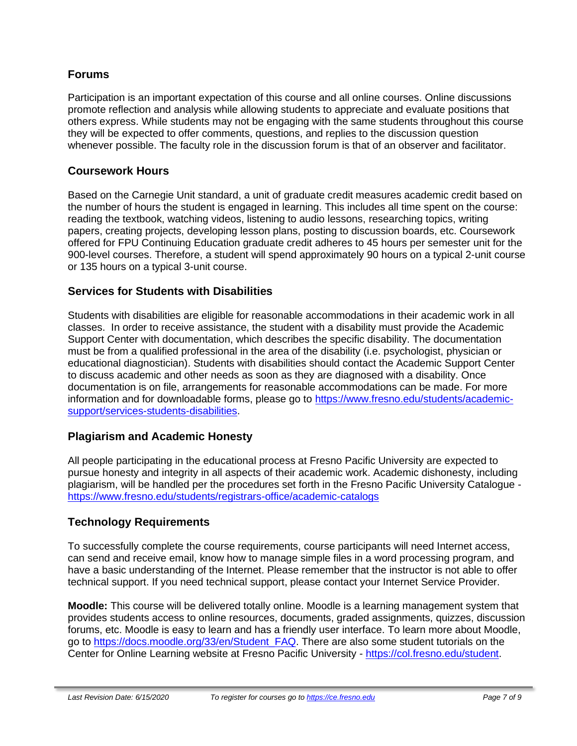#### **Forums**

Participation is an important expectation of this course and all online courses. Online discussions promote reflection and analysis while allowing students to appreciate and evaluate positions that others express. While students may not be engaging with the same students throughout this course they will be expected to offer comments, questions, and replies to the discussion question whenever possible. The faculty role in the discussion forum is that of an observer and facilitator.

#### **Coursework Hours**

Based on the Carnegie Unit standard, a unit of graduate credit measures academic credit based on the number of hours the student is engaged in learning. This includes all time spent on the course: reading the textbook, watching videos, listening to audio lessons, researching topics, writing papers, creating projects, developing lesson plans, posting to discussion boards, etc. Coursework offered for FPU Continuing Education graduate credit adheres to 45 hours per semester unit for the 900-level courses. Therefore, a student will spend approximately 90 hours on a typical 2-unit course or 135 hours on a typical 3-unit course.

#### **Services for Students with Disabilities**

Students with disabilities are eligible for reasonable accommodations in their academic work in all classes. In order to receive assistance, the student with a disability must provide the Academic Support Center with documentation, which describes the specific disability. The documentation must be from a qualified professional in the area of the disability (i.e. psychologist, physician or educational diagnostician). Students with disabilities should contact the Academic Support Center to discuss academic and other needs as soon as they are diagnosed with a disability. Once documentation is on file, arrangements for reasonable accommodations can be made. For more information and for downloadable forms, please go to [https://www.fresno.edu/students/academic](https://www.fresno.edu/students/academic-support/services-students-disabilities)[support/services-students-disabilities.](https://www.fresno.edu/students/academic-support/services-students-disabilities)

#### **Plagiarism and Academic Honesty**

All people participating in the educational process at Fresno Pacific University are expected to pursue honesty and integrity in all aspects of their academic work. Academic dishonesty, including plagiarism, will be handled per the procedures set forth in the Fresno Pacific University Catalogue <https://www.fresno.edu/students/registrars-office/academic-catalogs>

#### **Technology Requirements**

To successfully complete the course requirements, course participants will need Internet access, can send and receive email, know how to manage simple files in a word processing program, and have a basic understanding of the Internet. Please remember that the instructor is not able to offer technical support. If you need technical support, please contact your Internet Service Provider.

**Moodle:** This course will be delivered totally online. Moodle is a learning management system that provides students access to online resources, documents, graded assignments, quizzes, discussion forums, etc. Moodle is easy to learn and has a friendly user interface. To learn more about Moodle, go to [https://docs.moodle.org/33/en/Student\\_FAQ.](https://docs.moodle.org/33/en/Student_FAQ) There are also some student tutorials on the Center for Online Learning website at Fresno Pacific University - [https://col.fresno.edu/student.](https://col.fresno.edu/student)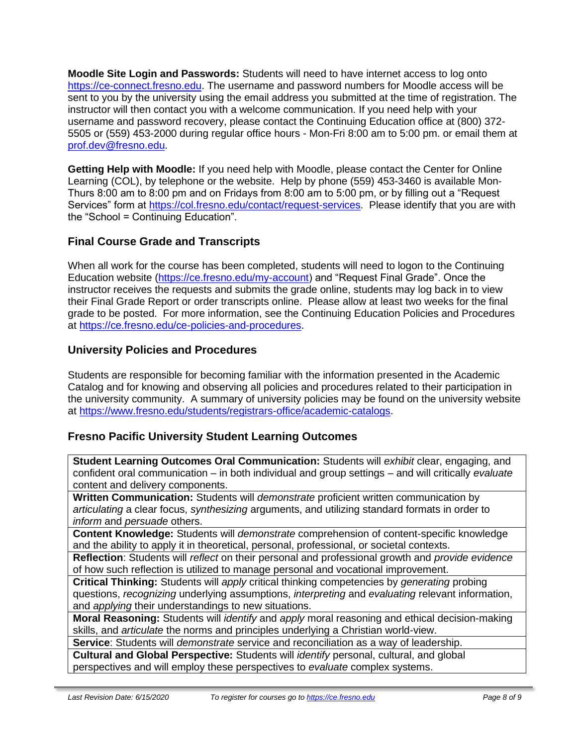**Moodle Site Login and Passwords:** Students will need to have internet access to log onto [https://ce-connect.fresno.edu.](https://ce-connect.fresno.edu/) The username and password numbers for Moodle access will be sent to you by the university using the email address you submitted at the time of registration. The instructor will then contact you with a welcome communication. If you need help with your username and password recovery, please contact the Continuing Education office at (800) 372- 5505 or (559) 453-2000 during regular office hours - Mon-Fri 8:00 am to 5:00 pm. or email them at [prof.dev@fresno.edu.](mailto:prof.dev@fresno.edu)

**Getting Help with Moodle:** If you need help with Moodle, please contact the Center for Online Learning (COL), by telephone or the website. Help by phone (559) 453-3460 is available Mon-Thurs 8:00 am to 8:00 pm and on Fridays from 8:00 am to 5:00 pm, or by filling out a "Request Services" form at [https://col.fresno.edu/contact/request-services.](https://col.fresno.edu/contact/request-services) Please identify that you are with the "School = Continuing Education".

## **Final Course Grade and Transcripts**

When all work for the course has been completed, students will need to logon to the Continuing Education website [\(https://ce.fresno.edu/my-account\)](https://ce.fresno.edu/my-account) and "Request Final Grade". Once the instructor receives the requests and submits the grade online, students may log back in to view their Final Grade Report or order transcripts online. Please allow at least two weeks for the final grade to be posted. For more information, see the Continuing Education Policies and Procedures at [https://ce.fresno.edu/ce-policies-and-procedures.](https://ce.fresno.edu/ce-policies-and-procedures)

#### **University Policies and Procedures**

Students are responsible for becoming familiar with the information presented in the Academic Catalog and for knowing and observing all policies and procedures related to their participation in the university community. A summary of university policies may be found on the university website at [https://www.fresno.edu/students/registrars-office/academic-catalogs.](https://www.fresno.edu/students/registrars-office/academic-catalogs)

#### **Fresno Pacific University Student Learning Outcomes**

**Student Learning Outcomes Oral Communication:** Students will *exhibit* clear, engaging, and confident oral communication – in both individual and group settings – and will critically *evaluate*  content and delivery components.

**Written Communication:** Students will *demonstrate* proficient written communication by *articulating* a clear focus, *synthesizing* arguments, and utilizing standard formats in order to *inform* and *persuade* others.

**Content Knowledge:** Students will *demonstrate* comprehension of content-specific knowledge and the ability to apply it in theoretical, personal, professional, or societal contexts.

**Reflection**: Students will *reflect* on their personal and professional growth and *provide evidence*  of how such reflection is utilized to manage personal and vocational improvement.

**Critical Thinking:** Students will *apply* critical thinking competencies by *generating* probing questions, *recognizing* underlying assumptions, *interpreting* and *evaluating* relevant information, and *applying* their understandings to new situations.

**Moral Reasoning:** Students will *identify* and *apply* moral reasoning and ethical decision-making skills, and *articulate* the norms and principles underlying a Christian world-view.

**Service**: Students will *demonstrate* service and reconciliation as a way of leadership.

**Cultural and Global Perspective:** Students will *identify* personal, cultural, and global perspectives and will employ these perspectives to *evaluate* complex systems.